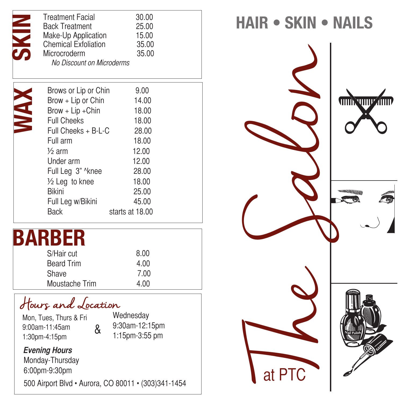| <b>Treatment Facial</b><br><b>Back Treatment</b><br>Make-Up Application<br><b>Chemical Exfoliation</b><br>Microcroderm<br>No Discount on Microderms | 30.00<br>25.00<br>15.00<br>35.00<br>35.00 |
|-----------------------------------------------------------------------------------------------------------------------------------------------------|-------------------------------------------|
|                                                                                                                                                     |                                           |
| Brows or Lip or Chin                                                                                                                                | 9.00                                      |
| Brow + Lip or Chin                                                                                                                                  | 14.00                                     |
| $Brown + Lip + Chin$                                                                                                                                | 18.00                                     |
| <b>Full Cheeks</b>                                                                                                                                  | 18.00                                     |
| Full Cheeks + B-L-C                                                                                                                                 | 28.00                                     |
| Full arm                                                                                                                                            | 18.00                                     |
| $\frac{1}{2}$ arm                                                                                                                                   | 12.00                                     |
| Under arm                                                                                                                                           | 12.00                                     |
| Full Leg 3" ^knee                                                                                                                                   | 28.00                                     |
| $\frac{1}{2}$ Leg to knee                                                                                                                           | 18.00                                     |
| <b>Bikini</b>                                                                                                                                       | 25.00                                     |
| Full Leg w/Bikini                                                                                                                                   | 45.00                                     |
| <b>Back</b>                                                                                                                                         | starts at 18.00                           |
|                                                                                                                                                     |                                           |

## **BARBER**

| S/Hair cut        | 8.00 |
|-------------------|------|
| <b>Beard Trim</b> | 4.00 |
| Shave             | 7.00 |
| Moustache Trim    | 4.00 |

Hours and Location

Mon, Tues, Thurs & Fri 9:00am-11:45am 1:30pm-4:15pm

Wednesday 9:30am-12:15pm 1:15pm-3:55 pm

## *Evening Hours*

Monday-Thursday 6:00pm-9:30pm

500 Airport Blvd • Aurora, CO 80011 • (303)341-1454

&

**HAIR • SKIN • NAILS**